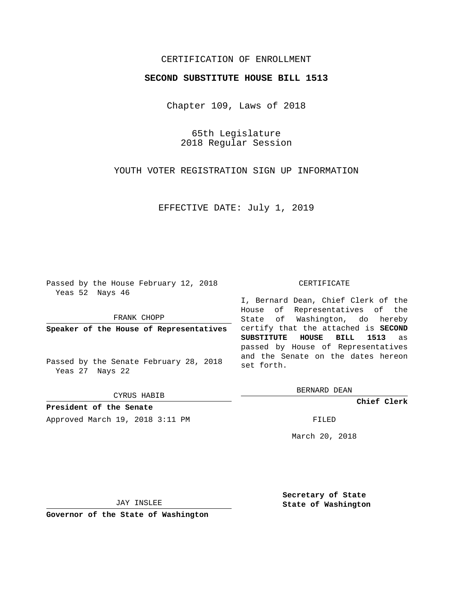# CERTIFICATION OF ENROLLMENT

### **SECOND SUBSTITUTE HOUSE BILL 1513**

Chapter 109, Laws of 2018

65th Legislature 2018 Regular Session

YOUTH VOTER REGISTRATION SIGN UP INFORMATION

EFFECTIVE DATE: July 1, 2019

Passed by the House February 12, 2018 Yeas 52 Nays 46

FRANK CHOPP

**Speaker of the House of Representatives**

Passed by the Senate February 28, 2018 Yeas 27 Nays 22

CYRUS HABIB

**President of the Senate** Approved March 19, 2018 3:11 PM FILED

#### CERTIFICATE

I, Bernard Dean, Chief Clerk of the House of Representatives of the State of Washington, do hereby certify that the attached is **SECOND SUBSTITUTE HOUSE BILL 1513** as passed by House of Representatives and the Senate on the dates hereon set forth.

BERNARD DEAN

**Chief Clerk**

March 20, 2018

JAY INSLEE

**Governor of the State of Washington**

**Secretary of State State of Washington**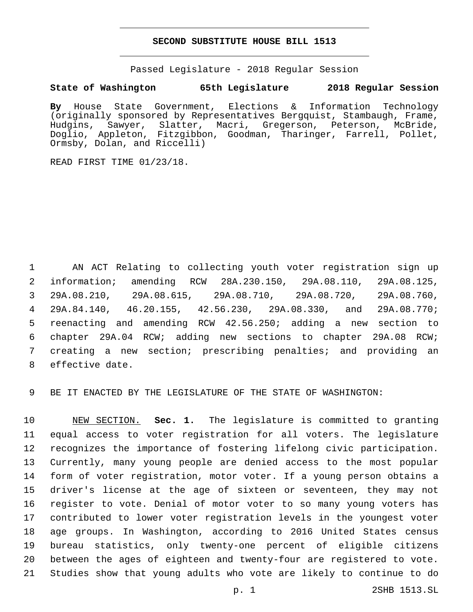### **SECOND SUBSTITUTE HOUSE BILL 1513**

Passed Legislature - 2018 Regular Session

## **State of Washington 65th Legislature 2018 Regular Session**

**By** House State Government, Elections & Information Technology (originally sponsored by Representatives Bergquist, Stambaugh, Frame, Hudgins, Sawyer, Slatter, Macri, Gregerson, Peterson, McBride, Doglio, Appleton, Fitzgibbon, Goodman, Tharinger, Farrell, Pollet, Ormsby, Dolan, and Riccelli)

READ FIRST TIME 01/23/18.

 AN ACT Relating to collecting youth voter registration sign up information; amending RCW 28A.230.150, 29A.08.110, 29A.08.125, 29A.08.210, 29A.08.615, 29A.08.710, 29A.08.720, 29A.08.760, 29A.84.140, 46.20.155, 42.56.230, 29A.08.330, and 29A.08.770; reenacting and amending RCW 42.56.250; adding a new section to chapter 29A.04 RCW; adding new sections to chapter 29A.08 RCW; creating a new section; prescribing penalties; and providing an 8 effective date.

BE IT ENACTED BY THE LEGISLATURE OF THE STATE OF WASHINGTON:

 NEW SECTION. **Sec. 1.** The legislature is committed to granting equal access to voter registration for all voters. The legislature recognizes the importance of fostering lifelong civic participation. Currently, many young people are denied access to the most popular form of voter registration, motor voter. If a young person obtains a driver's license at the age of sixteen or seventeen, they may not register to vote. Denial of motor voter to so many young voters has contributed to lower voter registration levels in the youngest voter age groups. In Washington, according to 2016 United States census bureau statistics, only twenty-one percent of eligible citizens between the ages of eighteen and twenty-four are registered to vote. Studies show that young adults who vote are likely to continue to do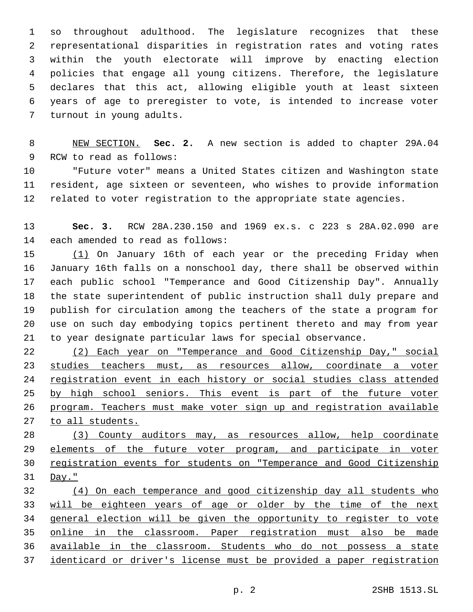so throughout adulthood. The legislature recognizes that these representational disparities in registration rates and voting rates within the youth electorate will improve by enacting election policies that engage all young citizens. Therefore, the legislature declares that this act, allowing eligible youth at least sixteen years of age to preregister to vote, is intended to increase voter 7 turnout in young adults.

 NEW SECTION. **Sec. 2.** A new section is added to chapter 29A.04 9 RCW to read as follows:

 "Future voter" means a United States citizen and Washington state resident, age sixteen or seventeen, who wishes to provide information related to voter registration to the appropriate state agencies.

 **Sec. 3.** RCW 28A.230.150 and 1969 ex.s. c 223 s 28A.02.090 are 14 each amended to read as follows:

 (1) On January 16th of each year or the preceding Friday when January 16th falls on a nonschool day, there shall be observed within each public school "Temperance and Good Citizenship Day". Annually the state superintendent of public instruction shall duly prepare and publish for circulation among the teachers of the state a program for use on such day embodying topics pertinent thereto and may from year to year designate particular laws for special observance.

 (2) Each year on "Temperance and Good Citizenship Day," social studies teachers must, as resources allow, coordinate a voter registration event in each history or social studies class attended 25 by high school seniors. This event is part of the future voter program. Teachers must make voter sign up and registration available to all students.

 (3) County auditors may, as resources allow, help coordinate elements of the future voter program, and participate in voter registration events for students on "Temperance and Good Citizenship Day."

 (4) On each temperance and good citizenship day all students who will be eighteen years of age or older by the time of the next 34 general election will be given the opportunity to register to vote 35 online in the classroom. Paper registration must also be made available in the classroom. Students who do not possess a state identicard or driver's license must be provided a paper registration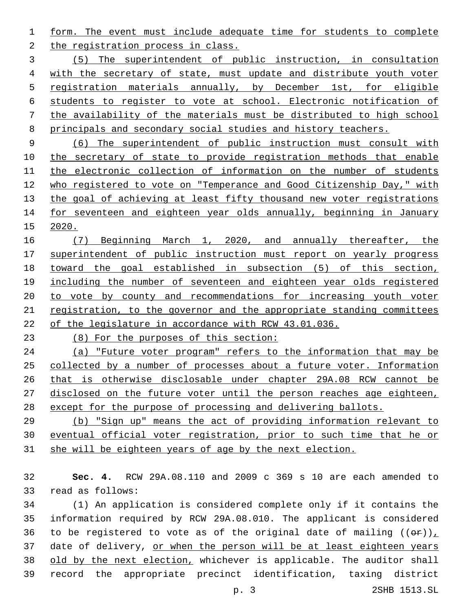form. The event must include adequate time for students to complete 2 the registration process in class.

 (5) The superintendent of public instruction, in consultation with the secretary of state, must update and distribute youth voter registration materials annually, by December 1st, for eligible students to register to vote at school. Electronic notification of the availability of the materials must be distributed to high school 8 principals and secondary social studies and history teachers.

 (6) The superintendent of public instruction must consult with 10 the secretary of state to provide registration methods that enable the electronic collection of information on the number of students who registered to vote on "Temperance and Good Citizenship Day," with 13 the goal of achieving at least fifty thousand new voter registrations for seventeen and eighteen year olds annually, beginning in January 2020.

 (7) Beginning March 1, 2020, and annually thereafter, the superintendent of public instruction must report on yearly progress toward the goal established in subsection (5) of this section, including the number of seventeen and eighteen year olds registered 20 to vote by county and recommendations for increasing youth voter registration, to the governor and the appropriate standing committees of the legislature in accordance with RCW 43.01.036.

(8) For the purposes of this section:

 (a) "Future voter program" refers to the information that may be collected by a number of processes about a future voter. Information that is otherwise disclosable under chapter 29A.08 RCW cannot be disclosed on the future voter until the person reaches age eighteen, except for the purpose of processing and delivering ballots.

 (b) "Sign up" means the act of providing information relevant to eventual official voter registration, prior to such time that he or she will be eighteen years of age by the next election.

 **Sec. 4.** RCW 29A.08.110 and 2009 c 369 s 10 are each amended to 33 read as follows:

 (1) An application is considered complete only if it contains the information required by RCW 29A.08.010. The applicant is considered 36 to be registered to vote as of the original date of mailing  $((\theta \cdot \mathbf{r}))_+$ 37 date of delivery, or when the person will be at least eighteen years 38 old by the next election, whichever is applicable. The auditor shall record the appropriate precinct identification, taxing district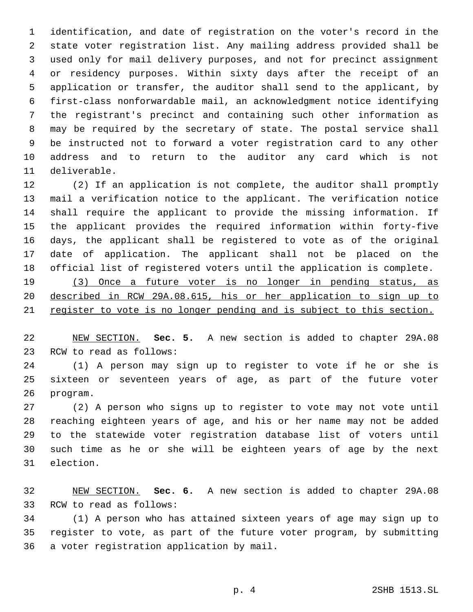identification, and date of registration on the voter's record in the state voter registration list. Any mailing address provided shall be used only for mail delivery purposes, and not for precinct assignment or residency purposes. Within sixty days after the receipt of an application or transfer, the auditor shall send to the applicant, by first-class nonforwardable mail, an acknowledgment notice identifying the registrant's precinct and containing such other information as may be required by the secretary of state. The postal service shall be instructed not to forward a voter registration card to any other address and to return to the auditor any card which is not 11 deliverable.

 (2) If an application is not complete, the auditor shall promptly mail a verification notice to the applicant. The verification notice shall require the applicant to provide the missing information. If the applicant provides the required information within forty-five days, the applicant shall be registered to vote as of the original date of application. The applicant shall not be placed on the official list of registered voters until the application is complete. (3) Once a future voter is no longer in pending status, as

 described in RCW 29A.08.615, his or her application to sign up to 21 register to vote is no longer pending and is subject to this section.

 NEW SECTION. **Sec. 5.** A new section is added to chapter 29A.08 23 RCW to read as follows:

 (1) A person may sign up to register to vote if he or she is sixteen or seventeen years of age, as part of the future voter 26 program.

 (2) A person who signs up to register to vote may not vote until reaching eighteen years of age, and his or her name may not be added to the statewide voter registration database list of voters until such time as he or she will be eighteen years of age by the next 31 election.

 NEW SECTION. **Sec. 6.** A new section is added to chapter 29A.08 33 RCW to read as follows:

 (1) A person who has attained sixteen years of age may sign up to register to vote, as part of the future voter program, by submitting 36 a voter registration application by mail.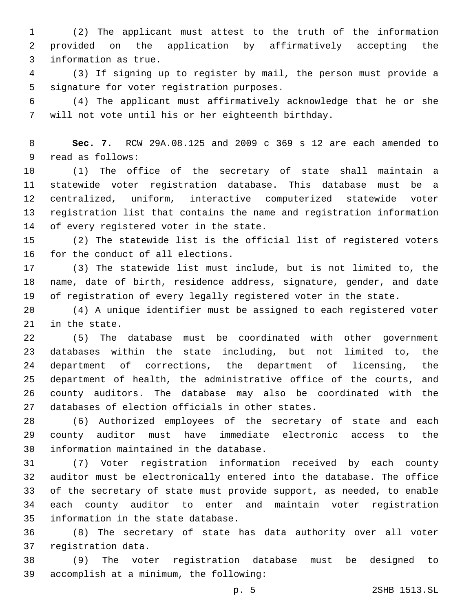(2) The applicant must attest to the truth of the information provided on the application by affirmatively accepting the 3 information as true.

 (3) If signing up to register by mail, the person must provide a 5 signature for voter registration purposes.

 (4) The applicant must affirmatively acknowledge that he or she will not vote until his or her eighteenth birthday.

 **Sec. 7.** RCW 29A.08.125 and 2009 c 369 s 12 are each amended to 9 read as follows:

 (1) The office of the secretary of state shall maintain a statewide voter registration database. This database must be a centralized, uniform, interactive computerized statewide voter registration list that contains the name and registration information 14 of every registered voter in the state.

 (2) The statewide list is the official list of registered voters 16 for the conduct of all elections.

 (3) The statewide list must include, but is not limited to, the name, date of birth, residence address, signature, gender, and date of registration of every legally registered voter in the state.

 (4) A unique identifier must be assigned to each registered voter 21 in the state.

 (5) The database must be coordinated with other government databases within the state including, but not limited to, the department of corrections, the department of licensing, the department of health, the administrative office of the courts, and county auditors. The database may also be coordinated with the 27 databases of election officials in other states.

 (6) Authorized employees of the secretary of state and each county auditor must have immediate electronic access to the 30 information maintained in the database.

 (7) Voter registration information received by each county auditor must be electronically entered into the database. The office of the secretary of state must provide support, as needed, to enable each county auditor to enter and maintain voter registration 35 information in the state database.

 (8) The secretary of state has data authority over all voter 37 registration data.

 (9) The voter registration database must be designed to 39 accomplish at a minimum, the following: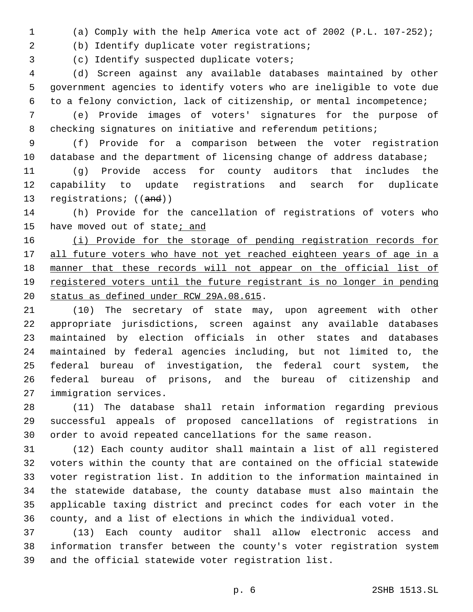(a) Comply with the help America vote act of 2002 (P.L. 107-252);

(b) Identify duplicate voter registrations;

3 (c) Identify suspected duplicate voters;

 (d) Screen against any available databases maintained by other government agencies to identify voters who are ineligible to vote due to a felony conviction, lack of citizenship, or mental incompetence;

 (e) Provide images of voters' signatures for the purpose of 8 checking signatures on initiative and referendum petitions;

 (f) Provide for a comparison between the voter registration 10 database and the department of licensing change of address database;

 (g) Provide access for county auditors that includes the capability to update registrations and search for duplicate 13 registrations; ((and))

 (h) Provide for the cancellation of registrations of voters who 15 have moved out of state<sub>j</sub> and

 (i) Provide for the storage of pending registration records for 17 all future voters who have not yet reached eighteen years of age in a manner that these records will not appear on the official list of 19 registered voters until the future registrant is no longer in pending 20 status as defined under RCW 29A.08.615.

 (10) The secretary of state may, upon agreement with other appropriate jurisdictions, screen against any available databases maintained by election officials in other states and databases maintained by federal agencies including, but not limited to, the federal bureau of investigation, the federal court system, the federal bureau of prisons, and the bureau of citizenship and 27 immigration services.

 (11) The database shall retain information regarding previous successful appeals of proposed cancellations of registrations in order to avoid repeated cancellations for the same reason.

 (12) Each county auditor shall maintain a list of all registered voters within the county that are contained on the official statewide voter registration list. In addition to the information maintained in the statewide database, the county database must also maintain the applicable taxing district and precinct codes for each voter in the county, and a list of elections in which the individual voted.

 (13) Each county auditor shall allow electronic access and information transfer between the county's voter registration system and the official statewide voter registration list.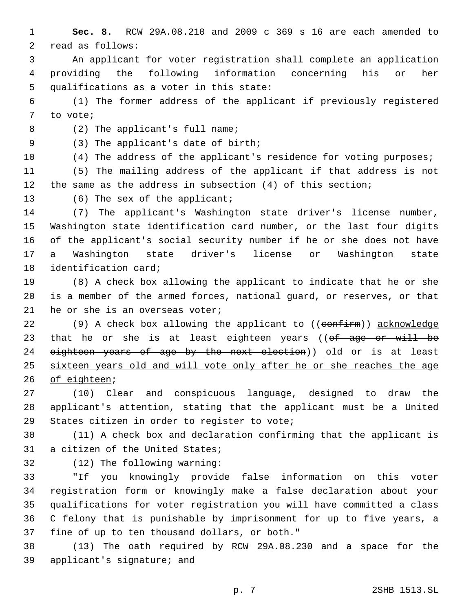1 **Sec. 8.** RCW 29A.08.210 and 2009 c 369 s 16 are each amended to 2 read as follows:

3 An applicant for voter registration shall complete an application 4 providing the following information concerning his or her 5 qualifications as a voter in this state:

6 (1) The former address of the applicant if previously registered 7 to vote;

8 (2) The applicant's full name;

(3) The applicant's date of birth;9

10 (4) The address of the applicant's residence for voting purposes;

11 (5) The mailing address of the applicant if that address is not 12 the same as the address in subsection (4) of this section;

13 (6) The sex of the applicant;

 (7) The applicant's Washington state driver's license number, Washington state identification card number, or the last four digits of the applicant's social security number if he or she does not have a Washington state driver's license or Washington state 18 identification card;

19 (8) A check box allowing the applicant to indicate that he or she 20 is a member of the armed forces, national guard, or reserves, or that 21 he or she is an overseas voter;

22 (9) A check box allowing the applicant to  $((\text{conf} \text{irm}))$  acknowledge 23 that he or she is at least eighteen years ((of age or will be 24 eighteen years of age by the next election)) old or is at least 25 sixteen years old and will vote only after he or she reaches the age 26 of eighteen;

27 (10) Clear and conspicuous language, designed to draw the 28 applicant's attention, stating that the applicant must be a United 29 States citizen in order to register to vote;

30 (11) A check box and declaration confirming that the applicant is 31 a citizen of the United States;

32 (12) The following warning:

 "If you knowingly provide false information on this voter registration form or knowingly make a false declaration about your qualifications for voter registration you will have committed a class C felony that is punishable by imprisonment for up to five years, a 37 fine of up to ten thousand dollars, or both."

38 (13) The oath required by RCW 29A.08.230 and a space for the 39 applicant's signature; and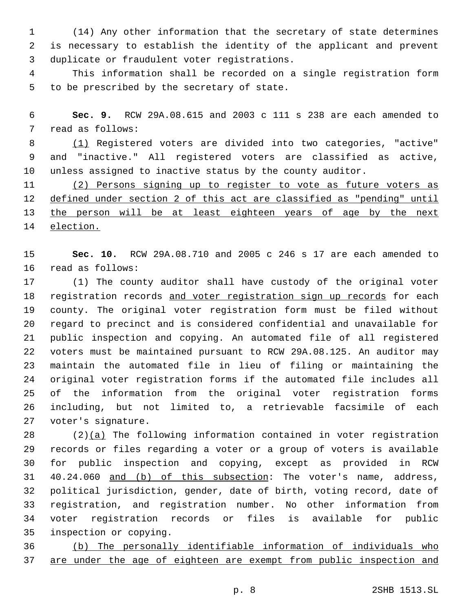(14) Any other information that the secretary of state determines is necessary to establish the identity of the applicant and prevent 3 duplicate or fraudulent voter registrations.

 This information shall be recorded on a single registration form 5 to be prescribed by the secretary of state.

 **Sec. 9.** RCW 29A.08.615 and 2003 c 111 s 238 are each amended to 7 read as follows:

 (1) Registered voters are divided into two categories, "active" and "inactive." All registered voters are classified as active, unless assigned to inactive status by the county auditor.

 (2) Persons signing up to register to vote as future voters as defined under section 2 of this act are classified as "pending" until 13 the person will be at least eighteen years of age by the next election.

 **Sec. 10.** RCW 29A.08.710 and 2005 c 246 s 17 are each amended to 16 read as follows:

 (1) The county auditor shall have custody of the original voter 18 registration records and voter registration sign up records for each county. The original voter registration form must be filed without regard to precinct and is considered confidential and unavailable for public inspection and copying. An automated file of all registered voters must be maintained pursuant to RCW 29A.08.125. An auditor may maintain the automated file in lieu of filing or maintaining the original voter registration forms if the automated file includes all of the information from the original voter registration forms including, but not limited to, a retrievable facsimile of each 27 voter's signature.

 (2)(a) The following information contained in voter registration records or files regarding a voter or a group of voters is available for public inspection and copying, except as provided in RCW 40.24.060 and (b) of this subsection: The voter's name, address, political jurisdiction, gender, date of birth, voting record, date of registration, and registration number. No other information from voter registration records or files is available for public 35 inspection or copying.

 (b) The personally identifiable information of individuals who 37 are under the age of eighteen are exempt from public inspection and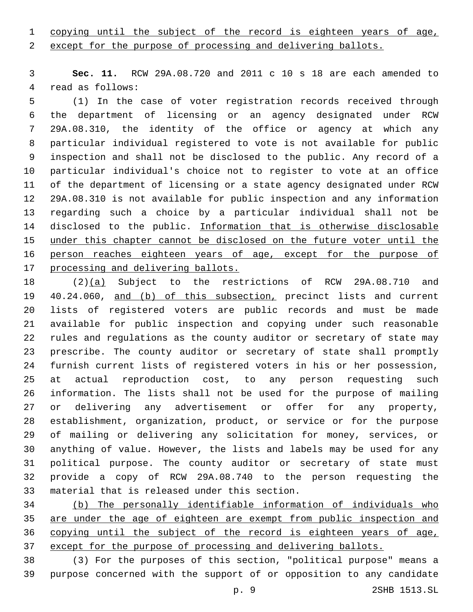# copying until the subject of the record is eighteen years of age,

2 except for the purpose of processing and delivering ballots.

 **Sec. 11.** RCW 29A.08.720 and 2011 c 10 s 18 are each amended to 4 read as follows:

 (1) In the case of voter registration records received through the department of licensing or an agency designated under RCW 29A.08.310, the identity of the office or agency at which any particular individual registered to vote is not available for public inspection and shall not be disclosed to the public. Any record of a particular individual's choice not to register to vote at an office of the department of licensing or a state agency designated under RCW 29A.08.310 is not available for public inspection and any information regarding such a choice by a particular individual shall not be 14 disclosed to the public. Information that is otherwise disclosable under this chapter cannot be disclosed on the future voter until the person reaches eighteen years of age, except for the purpose of processing and delivering ballots.

 (2)(a) Subject to the restrictions of RCW 29A.08.710 and 40.24.060, and (b) of this subsection, precinct lists and current lists of registered voters are public records and must be made available for public inspection and copying under such reasonable rules and regulations as the county auditor or secretary of state may prescribe. The county auditor or secretary of state shall promptly furnish current lists of registered voters in his or her possession, at actual reproduction cost, to any person requesting such information. The lists shall not be used for the purpose of mailing or delivering any advertisement or offer for any property, establishment, organization, product, or service or for the purpose of mailing or delivering any solicitation for money, services, or anything of value. However, the lists and labels may be used for any political purpose. The county auditor or secretary of state must provide a copy of RCW 29A.08.740 to the person requesting the 33 material that is released under this section.

 (b) The personally identifiable information of individuals who 35 are under the age of eighteen are exempt from public inspection and 36 copying until the subject of the record is eighteen years of age, 37 except for the purpose of processing and delivering ballots.

 (3) For the purposes of this section, "political purpose" means a purpose concerned with the support of or opposition to any candidate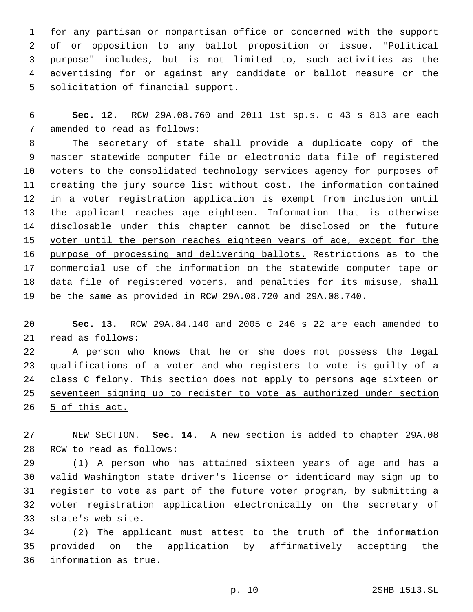for any partisan or nonpartisan office or concerned with the support of or opposition to any ballot proposition or issue. "Political purpose" includes, but is not limited to, such activities as the advertising for or against any candidate or ballot measure or the 5 solicitation of financial support.

 **Sec. 12.** RCW 29A.08.760 and 2011 1st sp.s. c 43 s 813 are each 7 amended to read as follows:

 The secretary of state shall provide a duplicate copy of the master statewide computer file or electronic data file of registered voters to the consolidated technology services agency for purposes of 11 creating the jury source list without cost. The information contained in a voter registration application is exempt from inclusion until 13 the applicant reaches age eighteen. Information that is otherwise disclosable under this chapter cannot be disclosed on the future voter until the person reaches eighteen years of age, except for the purpose of processing and delivering ballots. Restrictions as to the commercial use of the information on the statewide computer tape or data file of registered voters, and penalties for its misuse, shall be the same as provided in RCW 29A.08.720 and 29A.08.740.

 **Sec. 13.** RCW 29A.84.140 and 2005 c 246 s 22 are each amended to 21 read as follows:

 A person who knows that he or she does not possess the legal qualifications of a voter and who registers to vote is guilty of a class C felony. This section does not apply to persons age sixteen or seventeen signing up to register to vote as authorized under section 26 5 of this act.

 NEW SECTION. **Sec. 14.** A new section is added to chapter 29A.08 28 RCW to read as follows:

 (1) A person who has attained sixteen years of age and has a valid Washington state driver's license or identicard may sign up to register to vote as part of the future voter program, by submitting a voter registration application electronically on the secretary of 33 state's web site.

 (2) The applicant must attest to the truth of the information provided on the application by affirmatively accepting the 36 information as true.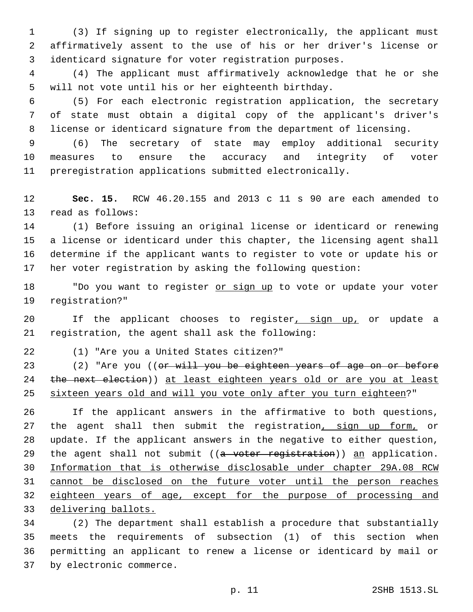(3) If signing up to register electronically, the applicant must affirmatively assent to the use of his or her driver's license or identicard signature for voter registration purposes.

 (4) The applicant must affirmatively acknowledge that he or she will not vote until his or her eighteenth birthday.

 (5) For each electronic registration application, the secretary of state must obtain a digital copy of the applicant's driver's license or identicard signature from the department of licensing.

 (6) The secretary of state may employ additional security measures to ensure the accuracy and integrity of voter preregistration applications submitted electronically.

 **Sec. 15.** RCW 46.20.155 and 2013 c 11 s 90 are each amended to 13 read as follows:

 (1) Before issuing an original license or identicard or renewing a license or identicard under this chapter, the licensing agent shall determine if the applicant wants to register to vote or update his or her voter registration by asking the following question:

18 "Do you want to register or sign up to vote or update your voter 19 reqistration?"

20 If the applicant chooses to register, sign up, or update a 21 registration, the agent shall ask the following:

(1) "Are you a United States citizen?"22

23 (2) "Are you ((or will you be eighteen years of age on or before 24 the next election)) at least eighteen years old or are you at least sixteen years old and will you vote only after you turn eighteen?"

 If the applicant answers in the affirmative to both questions, 27 the agent shall then submit the registration, sign up form, or update. If the applicant answers in the negative to either question, 29 the agent shall not submit ((a voter registration)) an application. Information that is otherwise disclosable under chapter 29A.08 RCW cannot be disclosed on the future voter until the person reaches eighteen years of age, except for the purpose of processing and delivering ballots.

 (2) The department shall establish a procedure that substantially meets the requirements of subsection (1) of this section when permitting an applicant to renew a license or identicard by mail or 37 by electronic commerce.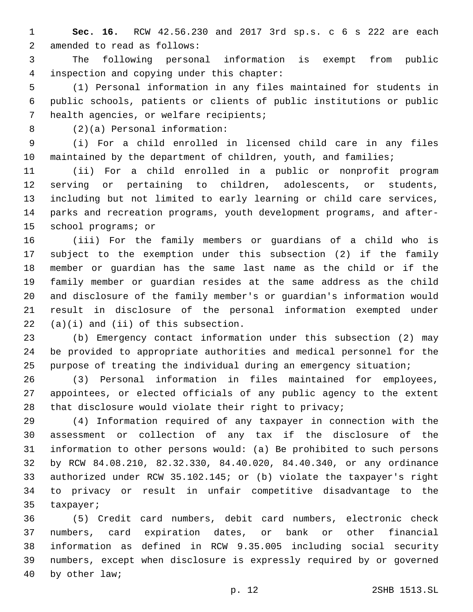**Sec. 16.** RCW 42.56.230 and 2017 3rd sp.s. c 6 s 222 are each 2 amended to read as follows:

 The following personal information is exempt from public inspection and copying under this chapter:4

 (1) Personal information in any files maintained for students in public schools, patients or clients of public institutions or public 7 health agencies, or welfare recipients;

(2)(a) Personal information:8

 (i) For a child enrolled in licensed child care in any files 10 maintained by the department of children, youth, and families;

 (ii) For a child enrolled in a public or nonprofit program serving or pertaining to children, adolescents, or students, including but not limited to early learning or child care services, parks and recreation programs, youth development programs, and after-15 school programs; or

 (iii) For the family members or guardians of a child who is subject to the exemption under this subsection (2) if the family member or guardian has the same last name as the child or if the family member or guardian resides at the same address as the child and disclosure of the family member's or guardian's information would result in disclosure of the personal information exempted under  $(22 \quad (a)(i)$  and  $(ii)$  of this subsection.

 (b) Emergency contact information under this subsection (2) may be provided to appropriate authorities and medical personnel for the purpose of treating the individual during an emergency situation;

 (3) Personal information in files maintained for employees, appointees, or elected officials of any public agency to the extent that disclosure would violate their right to privacy;

 (4) Information required of any taxpayer in connection with the assessment or collection of any tax if the disclosure of the information to other persons would: (a) Be prohibited to such persons by RCW 84.08.210, 82.32.330, 84.40.020, 84.40.340, or any ordinance authorized under RCW 35.102.145; or (b) violate the taxpayer's right to privacy or result in unfair competitive disadvantage to the 35 taxpayer;

 (5) Credit card numbers, debit card numbers, electronic check numbers, card expiration dates, or bank or other financial information as defined in RCW 9.35.005 including social security numbers, except when disclosure is expressly required by or governed 40 by other law;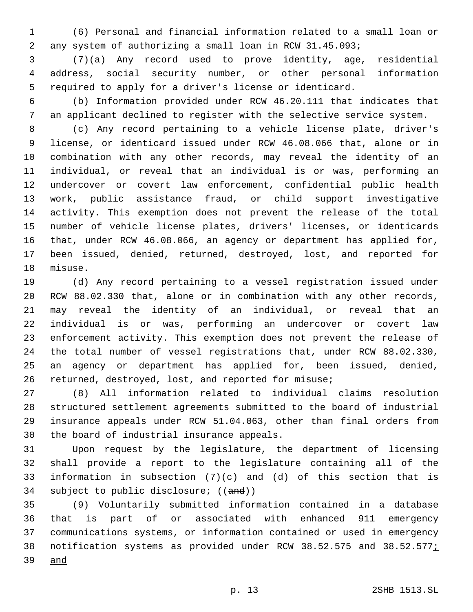(6) Personal and financial information related to a small loan or any system of authorizing a small loan in RCW 31.45.093;

 (7)(a) Any record used to prove identity, age, residential address, social security number, or other personal information required to apply for a driver's license or identicard.

 (b) Information provided under RCW 46.20.111 that indicates that an applicant declined to register with the selective service system.

 (c) Any record pertaining to a vehicle license plate, driver's license, or identicard issued under RCW 46.08.066 that, alone or in combination with any other records, may reveal the identity of an individual, or reveal that an individual is or was, performing an undercover or covert law enforcement, confidential public health work, public assistance fraud, or child support investigative activity. This exemption does not prevent the release of the total number of vehicle license plates, drivers' licenses, or identicards that, under RCW 46.08.066, an agency or department has applied for, been issued, denied, returned, destroyed, lost, and reported for 18 misuse.

 (d) Any record pertaining to a vessel registration issued under RCW 88.02.330 that, alone or in combination with any other records, may reveal the identity of an individual, or reveal that an individual is or was, performing an undercover or covert law enforcement activity. This exemption does not prevent the release of the total number of vessel registrations that, under RCW 88.02.330, an agency or department has applied for, been issued, denied, returned, destroyed, lost, and reported for misuse;

 (8) All information related to individual claims resolution structured settlement agreements submitted to the board of industrial insurance appeals under RCW 51.04.063, other than final orders from 30 the board of industrial insurance appeals.

 Upon request by the legislature, the department of licensing shall provide a report to the legislature containing all of the information in subsection (7)(c) and (d) of this section that is 34 subject to public disclosure; ((and))

 (9) Voluntarily submitted information contained in a database that is part of or associated with enhanced 911 emergency communications systems, or information contained or used in emergency 38 notification systems as provided under RCW 38.52.575 and 38.52.577; and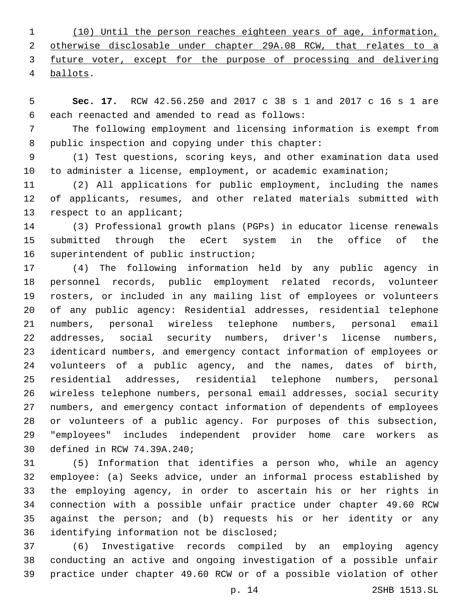(10) Until the person reaches eighteen years of age, information, otherwise disclosable under chapter 29A.08 RCW, that relates to a future voter, except for the purpose of processing and delivering ballots.4

 **Sec. 17.** RCW 42.56.250 and 2017 c 38 s 1 and 2017 c 16 s 1 are 6 each reenacted and amended to read as follows:

 The following employment and licensing information is exempt from 8 public inspection and copying under this chapter:

 (1) Test questions, scoring keys, and other examination data used to administer a license, employment, or academic examination;

 (2) All applications for public employment, including the names of applicants, resumes, and other related materials submitted with 13 respect to an applicant;

 (3) Professional growth plans (PGPs) in educator license renewals submitted through the eCert system in the office of the 16 superintendent of public instruction;

 (4) The following information held by any public agency in personnel records, public employment related records, volunteer rosters, or included in any mailing list of employees or volunteers of any public agency: Residential addresses, residential telephone numbers, personal wireless telephone numbers, personal email addresses, social security numbers, driver's license numbers, identicard numbers, and emergency contact information of employees or volunteers of a public agency, and the names, dates of birth, residential addresses, residential telephone numbers, personal wireless telephone numbers, personal email addresses, social security numbers, and emergency contact information of dependents of employees or volunteers of a public agency. For purposes of this subsection, "employees" includes independent provider home care workers as 30 defined in RCW 74.39A.240;

 (5) Information that identifies a person who, while an agency employee: (a) Seeks advice, under an informal process established by the employing agency, in order to ascertain his or her rights in connection with a possible unfair practice under chapter 49.60 RCW against the person; and (b) requests his or her identity or any 36 identifying information not be disclosed;

 (6) Investigative records compiled by an employing agency conducting an active and ongoing investigation of a possible unfair practice under chapter 49.60 RCW or of a possible violation of other

p. 14 2SHB 1513.SL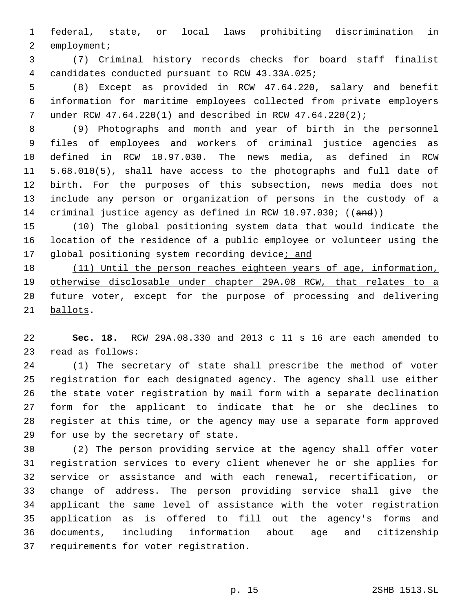federal, state, or local laws prohibiting discrimination in 2 employment;

 (7) Criminal history records checks for board staff finalist candidates conducted pursuant to RCW 43.33A.025;4

 (8) Except as provided in RCW 47.64.220, salary and benefit information for maritime employees collected from private employers under RCW 47.64.220(1) and described in RCW 47.64.220(2);

 (9) Photographs and month and year of birth in the personnel files of employees and workers of criminal justice agencies as defined in RCW 10.97.030. The news media, as defined in RCW 5.68.010(5), shall have access to the photographs and full date of birth. For the purposes of this subsection, news media does not include any person or organization of persons in the custody of a 14 criminal justice agency as defined in RCW 10.97.030; ((and))

 (10) The global positioning system data that would indicate the location of the residence of a public employee or volunteer using the 17 global positioning system recording device; and

 (11) Until the person reaches eighteen years of age, information, otherwise disclosable under chapter 29A.08 RCW, that relates to a future voter, except for the purpose of processing and delivering 21 ballots.

 **Sec. 18.** RCW 29A.08.330 and 2013 c 11 s 16 are each amended to 23 read as follows:

 (1) The secretary of state shall prescribe the method of voter registration for each designated agency. The agency shall use either the state voter registration by mail form with a separate declination form for the applicant to indicate that he or she declines to register at this time, or the agency may use a separate form approved 29 for use by the secretary of state.

 (2) The person providing service at the agency shall offer voter registration services to every client whenever he or she applies for service or assistance and with each renewal, recertification, or change of address. The person providing service shall give the applicant the same level of assistance with the voter registration application as is offered to fill out the agency's forms and documents, including information about age and citizenship 37 requirements for voter registration.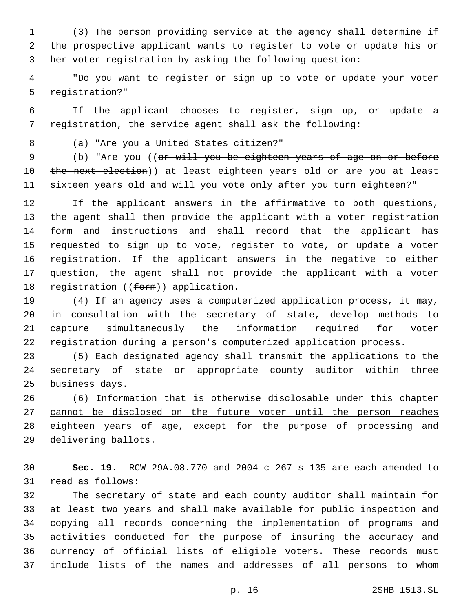(3) The person providing service at the agency shall determine if the prospective applicant wants to register to vote or update his or her voter registration by asking the following question:

4 "Do you want to register or sign up to vote or update your voter 5 reqistration?"

 If the applicant chooses to register, sign up, or update a registration, the service agent shall ask the following:

(a) "Are you a United States citizen?"8

9 (b) "Are you ((or will you be eighteen years of age on or before 10 the next election)) at least eighteen years old or are you at least sixteen years old and will you vote only after you turn eighteen?"

 If the applicant answers in the affirmative to both questions, the agent shall then provide the applicant with a voter registration form and instructions and shall record that the applicant has 15 requested to sign up to vote, register to vote, or update a voter registration. If the applicant answers in the negative to either question, the agent shall not provide the applicant with a voter 18 registration ((form)) application.

 (4) If an agency uses a computerized application process, it may, in consultation with the secretary of state, develop methods to capture simultaneously the information required for voter registration during a person's computerized application process.

 (5) Each designated agency shall transmit the applications to the secretary of state or appropriate county auditor within three 25 business days.

 (6) Information that is otherwise disclosable under this chapter cannot be disclosed on the future voter until the person reaches eighteen years of age, except for the purpose of processing and delivering ballots.

 **Sec. 19.** RCW 29A.08.770 and 2004 c 267 s 135 are each amended to 31 read as follows:

 The secretary of state and each county auditor shall maintain for at least two years and shall make available for public inspection and copying all records concerning the implementation of programs and activities conducted for the purpose of insuring the accuracy and currency of official lists of eligible voters. These records must include lists of the names and addresses of all persons to whom